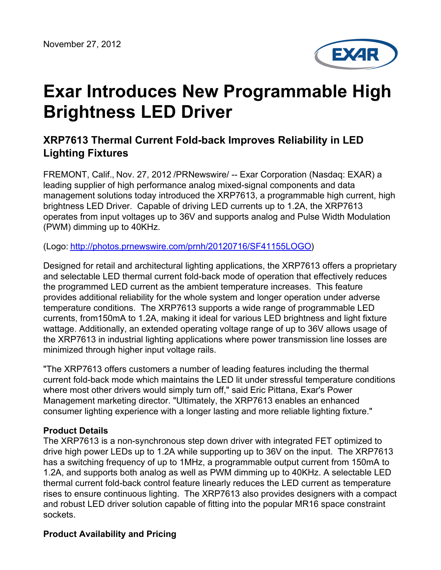

# **Exar Introduces New Programmable High Brightness LED Driver**

## **XRP7613 Thermal Current Fold-back Improves Reliability in LED Lighting Fixtures**

FREMONT, Calif., Nov. 27, 2012 /PRNewswire/ -- Exar Corporation (Nasdaq: EXAR) a leading supplier of high performance analog mixed-signal components and data management solutions today introduced the XRP7613, a programmable high current, high brightness LED Driver. Capable of driving LED currents up to 1.2A, the XRP7613 operates from input voltages up to 36V and supports analog and Pulse Width Modulation (PWM) dimming up to 40KHz.

(Logo: <http://photos.prnewswire.com/prnh/20120716/SF41155LOGO>)

Designed for retail and architectural lighting applications, the XRP7613 offers a proprietary and selectable LED thermal current fold-back mode of operation that effectively reduces the programmed LED current as the ambient temperature increases. This feature provides additional reliability for the whole system and longer operation under adverse temperature conditions. The XRP7613 supports a wide range of programmable LED currents, from150mA to 1.2A, making it ideal for various LED brightness and light fixture wattage. Additionally, an extended operating voltage range of up to 36V allows usage of the XRP7613 in industrial lighting applications where power transmission line losses are minimized through higher input voltage rails.

"The XRP7613 offers customers a number of leading features including the thermal current fold-back mode which maintains the LED lit under stressful temperature conditions where most other drivers would simply turn off," said Eric Pittana, Exar's Power Management marketing director. "Ultimately, the XRP7613 enables an enhanced consumer lighting experience with a longer lasting and more reliable lighting fixture."

#### **Product Details**

The XRP7613 is a non-synchronous step down driver with integrated FET optimized to drive high power LEDs up to 1.2A while supporting up to 36V on the input. The XRP7613 has a switching frequency of up to 1MHz, a programmable output current from 150mA to 1.2A, and supports both analog as well as PWM dimming up to 40KHz. A selectable LED thermal current fold-back control feature linearly reduces the LED current as temperature rises to ensure continuous lighting. The XRP7613 also provides designers with a compact and robust LED driver solution capable of fitting into the popular MR16 space constraint sockets.

#### **Product Availability and Pricing**